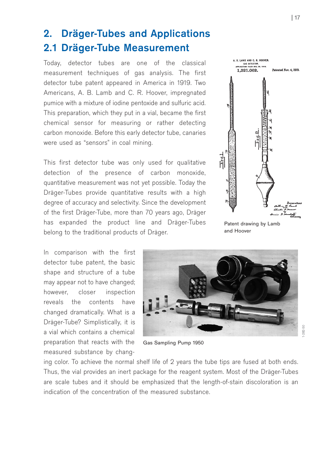# 2. Dräger-Tubes and Applications 2.1 Dräger-Tube Measurement

Today, detector tubes are one of the classical measurement techniques of gas analysis. The first detector tube patent appeared in America in 1919. Two Americans, A. B. Lamb and C. R. Hoover, impregnated pumice with a mixture of iodine pentoxide and sulfuric acid. This preparation, which they put in a vial, became the first chemical sensor for measuring or rather detecting carbon monoxide. Before this early detector tube, canaries were used as "sensors" in coal mining.

This first detector tube was only used for qualitative detection of the presence of carbon monoxide, quantitative measurement was not yet possible. Today the Dräger-Tubes provide quantitative results with a high degree of accuracy and selectivity. Since the development of the first Dräger-Tube, more than 70 years ago, Dräger has expanded the product line and Dräger-Tubes belong to the traditional products of Dräger.

In comparison with the first detector tube patent, the basic shape and structure of a tube may appear not to have changed; however, closer inspection reveals the contents have changed dramatically. What is a Dräger-Tube? Simplistically, it is a vial which contains a chemical preparation that reacts with the measured substance by chang-



A. B. LAMB AND C. R. HOOVER.<br>GAS DETECTOR. 1.321.062.



Gas Sampling Pump 1950

ing color. To achieve the normal shelf life of 2 years the tube tips are fused at both ends. Thus, the vial provides an inert package for the reagent system. Most of the Dräger-Tubes are scale tubes and it should be emphasized that the length-of-stain discoloration is an indication of the concentration of the measured substance.

Patented Nov. 4, 1919

1-282-50

 $-282 - 50$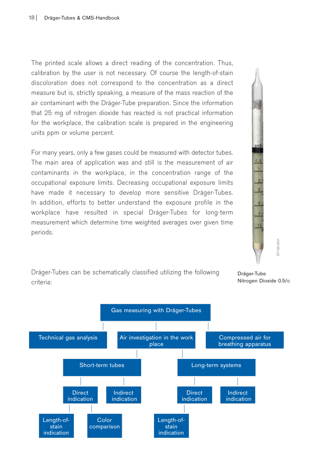The printed scale allows a direct reading of the concentration. Thus, calibration by the user is not necessary. Of course the length-of-stain discoloration does not correspond to the concentration as a direct measure but is, strictly speaking, a measure of the mass reaction of the air contaminant with the Dräger-Tube preparation. Since the information that 25 mg of nitrogen dioxide has reacted is not practical information for the workplace, the calibration scale is prepared in the engineering units ppm or volume percent.

For many years, only a few gases could be measured with detector tubes. The main area of application was and still is the measurement of air contaminants in the workplace, in the concentration range of the occupational exposure limits. Decreasing occupational exposure limits have made it necessary to develop more sensitive Dräger-Tubes. In addition, efforts to better understand the exposure profile in the workplace have resulted in special Dräger-Tubes for long-term measurement which determine time weighted averages over given time periods.



Dräger-Tubes can be schematically classified utilizing the following criteria:

Dräger-Tube

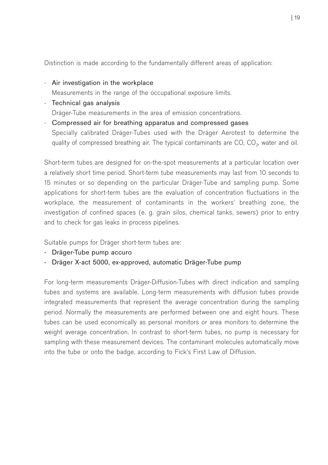Distinction is made according to the fundamentally different areas of application:

- Air investigation in the workplace

Measurements in the range of the occupational exposure limits.

- Technical gas analysis Dräger-Tube measurements in the area of emission concentrations.
- Compressed air for breathing apparatus and compressed gases Specially calibrated Dräger-Tubes used with the Dräger Aerotest to determine the quality of compressed breathing air. The typical contaminants are  $CO$ ,  $CO<sub>2</sub>$ , water and oil.

Short-term tubes are designed for on-the-spot measurements at a particular location over a relatively short time period. Short-term tube measurements may last from 10 seconds to 15 minutes or so depending on the particular Dräger-Tube and sampling pump. Some applications for short-term tubes are the evaluation of concentration fluctuations in the workplace, the measurement of contaminants in the workers' breathing zone, the investigation of confined spaces (e. g. grain silos, chemical tanks, sewers) prior to entry and to check for gas leaks in process pipelines.

Suitable pumps for Dräger short-term tubes are:

- Dräger-Tube pump accuro
- Dräger X-act 5000, ex-approved, automatic Dräger-Tube pump

For long-term measurements Dräger-Diffusion-Tubes with direct indication and sampling tubes and systems are available. Long-term measurements with diffusion tubes provide integrated measurements that represent the average concentration during the sampling period. Normally the measurements are performed between one and eight hours. These tubes can be used economically as personal monitors or area monitors to determine the weight average concentration. In contrast to short-term tubes, no pump is necessary for sampling with these measurement devices. The contaminant molecules automatically move into the tube or onto the badge, according to Fick's First Law of Diffusion.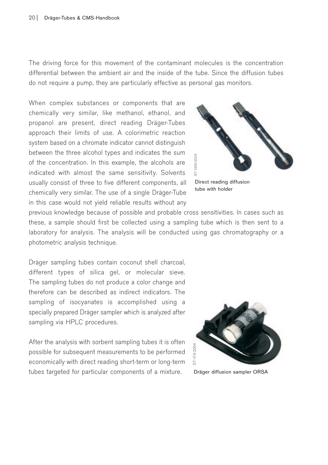The driving force for this movement of the contaminant molecules is the concentration differential between the ambient air and the inside of the tube. Since the diffusion tubes do not require a pump, they are particularly effective as personal gas monitors.

When complex substances or components that are chemically very similar, like methanol, ethanol, and propanol are present, direct reading Dräger-Tubes approach their limits of use. A colorimetric reaction system based on a chromate indicator cannot distinguish between the three alcohol types and indicates the sum of the concentration. In this example, the alcohols are indicated with almost the same sensitivity. Solvents usually consist of three to five different components, all chemically very similar. The use of a single Dräger-Tube in this case would not yield reliable results without any



Direct reading diffusion tube with holder

previous knowledge because of possible and probable cross sensitivities. In cases such as these, a sample should first be collected using a sampling tube which is then sent to a laboratory for analysis. The analysis will be conducted using gas chromatography or a photometric analysis technique.

Dräger sampling tubes contain coconut shell charcoal, different types of silica gel, or molecular sieve. The sampling tubes do not produce a color change and therefore can be described as indirect indicators. The sampling of isocyanates is accomplished using a specially prepared Dräger sampler which is analyzed after sampling via HPLC procedures.

After the analysis with sorbent sampling tubes it is often possible for subsequent measurements to be performed economically with direct reading short-term or long-term tubes targeted for particular components of a mixture.

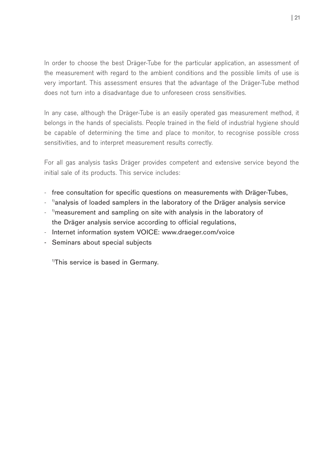In order to choose the best Dräger-Tube for the particular application, an assessment of the measurement with regard to the ambient conditions and the possible limits of use is very important. This assessment ensures that the advantage of the Dräger-Tube method does not turn into a disadvantage due to unforeseen cross sensitivities.

In any case, although the Dräger-Tube is an easily operated gas measurement method, it belongs in the hands of specialists. People trained in the field of industrial hygiene should be capable of determining the time and place to monitor, to recognise possible cross sensitivities, and to interpret measurement results correctly.

For all gas analysis tasks Dräger provides competent and extensive service beyond the initial sale of its products. This service includes:

- free consultation for specific questions on measurements with Dräger-Tubes,
- <sup>-</sup> <sup>1)</sup>analysis of loaded samplers in the laboratory of the Dräger analysis service
- <sup>1)</sup>measurement and sampling on site with analysis in the laboratory of the Dräger analysis service according to official regulations,
- Internet information system VOICE: www.draeger.com/voice
- Seminars about special subjects

<sup>1)</sup>This service is based in Germany.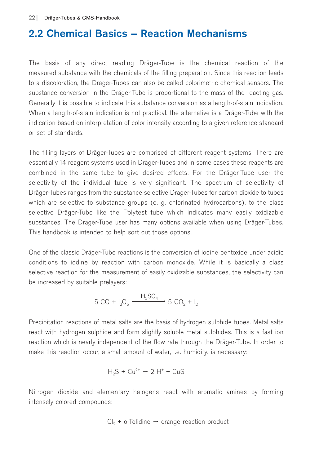## 2.2 Chemical Basics – Reaction Mechanisms

The basis of any direct reading Dräger-Tube is the chemical reaction of the measured substance with the chemicals of the filling preparation. Since this reaction leads to a discoloration, the Dräger-Tubes can also be called colorimetric chemical sensors. The substance conversion in the Dräger-Tube is proportional to the mass of the reacting gas. Generally it is possible to indicate this substance conversion as a length-of-stain indication. When a length-of-stain indication is not practical, the alternative is a Dräger-Tube with the indication based on interpretation of color intensity according to a given reference standard or set of standards.

The filling layers of Dräger-Tubes are comprised of different reagent systems. There are essentially 14 reagent systems used in Dräger-Tubes and in some cases these reagents are combined in the same tube to give desired effects. For the Dräger-Tube user the selectivity of the individual tube is very significant. The spectrum of selectivity of Dräger-Tubes ranges from the substance selective Dräger-Tubes for carbon dioxide to tubes which are selective to substance groups (e. g. chlorinated hydrocarbons), to the class selective Dräger-Tube like the Polytest tube which indicates many easily oxidizable substances. The Dräger-Tube user has many options available when using Dräger-Tubes. This handbook is intended to help sort out those options.

One of the classic Dräger-Tube reactions is the conversion of iodine pentoxide under acidic conditions to iodine by reaction with carbon monoxide. While it is basically a class selective reaction for the measurement of easily oxidizable substances, the selectivity can be increased by suitable prelayers:

$$
5 CO + I_2O_5 \xrightarrow{H_2SO_4} 5 CO_2 + I_2
$$

Precipitation reactions of metal salts are the basis of hydrogen sulphide tubes. Metal salts react with hydrogen sulphide and form slightly soluble metal sulphides. This is a fast ion reaction which is nearly independent of the flow rate through the Dräger-Tube. In order to make this reaction occur, a small amount of water, i.e. humidity, is necessary:

$$
H_2S + Cu^{2+} \rightarrow 2 H^+ + CuS
$$

Nitrogen dioxide and elementary halogens react with aromatic amines by forming intensely colored compounds:

$$
Cl_2 + o\text{-Tolidine} \rightarrow \text{orange reaction product}
$$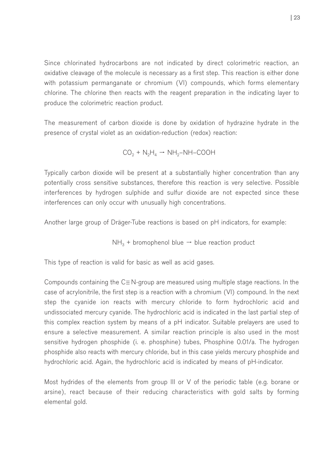Since chlorinated hydrocarbons are not indicated by direct colorimetric reaction, an oxidative cleavage of the molecule is necessary as a first step. This reaction is either done with potassium permanganate or chromium (VI) compounds, which forms elementary chlorine. The chlorine then reacts with the reagent preparation in the indicating layer to produce the colorimetric reaction product.

The measurement of carbon dioxide is done by oxidation of hydrazine hydrate in the presence of crystal violet as an oxidation-reduction (redox) reaction:

$$
CO_2 + N_2H_4 \rightarrow NH_2-NH\text{-COOH}
$$

Typically carbon dioxide will be present at a substantially higher concentration than any potentially cross sensitive substances, therefore this reaction is very selective. Possible interferences by hydrogen sulphide and sulfur dioxide are not expected since these interferences can only occur with unusually high concentrations.

Another large group of Dräger-Tube reactions is based on pH indicators, for example:

$$
\text{NH}_3 + \text{bromophenol blue} \rightarrow \text{blue reaction product}
$$

This type of reaction is valid for basic as well as acid gases.

Compounds containing the  $C \equiv N$ -group are measured using multiple stage reactions. In the case of acrylonitrile, the first step is a reaction with a chromium (VI) compound. In the next step the cyanide ion reacts with mercury chloride to form hydrochloric acid and undissociated mercury cyanide. The hydrochloric acid is indicated in the last partial step of this complex reaction system by means of a pH indicator. Suitable prelayers are used to ensure a selective measurement. A similar reaction principle is also used in the most sensitive hydrogen phosphide (i. e. phosphine) tubes, Phosphine 0.01/a. The hydrogen phosphide also reacts with mercury chloride, but in this case yields mercury phosphide and hydrochloric acid. Again, the hydrochloric acid is indicated by means of pH-indicator.

Most hydrides of the elements from group III or V of the periodic table (e.g. borane or arsine), react because of their reducing characteristics with gold salts by forming elemental gold.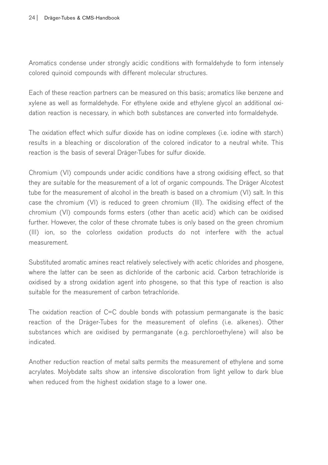Aromatics condense under strongly acidic conditions with formaldehyde to form intensely colored quinoid compounds with different molecular structures.

Each of these reaction partners can be measured on this basis; aromatics like benzene and xylene as well as formaldehyde. For ethylene oxide and ethylene glycol an additional oxidation reaction is necessary, in which both substances are converted into formaldehyde.

The oxidation effect which sulfur dioxide has on iodine complexes (i.e. iodine with starch) results in a bleaching or discoloration of the colored indicator to a neutral white. This reaction is the basis of several Dräger-Tubes for sulfur dioxide.

Chromium (VI) compounds under acidic conditions have a strong oxidising effect, so that they are suitable for the measurement of a lot of organic compounds. The Dräger Alcotest tube for the measurement of alcohol in the breath is based on a chromium (VI) salt. In this case the chromium (VI) is reduced to green chromium (III). The oxidising effect of the chromium (VI) compounds forms esters (other than acetic acid) which can be oxidised further. However, the color of these chromate tubes is only based on the green chromium (III) ion, so the colorless oxidation products do not interfere with the actual measurement.

Substituted aromatic amines react relatively selectively with acetic chlorides and phosgene, where the latter can be seen as dichloride of the carbonic acid. Carbon tetrachloride is oxidised by a strong oxidation agent into phosgene, so that this type of reaction is also suitable for the measurement of carbon tetrachloride.

The oxidation reaction of C=C double bonds with potassium permanganate is the basic reaction of the Dräger-Tubes for the measurement of olefins (i.e. alkenes). Other substances which are oxidised by permanganate (e.g. perchloroethylene) will also be indicated.

Another reduction reaction of metal salts permits the measurement of ethylene and some acrylates. Molybdate salts show an intensive discoloration from light yellow to dark blue when reduced from the highest oxidation stage to a lower one.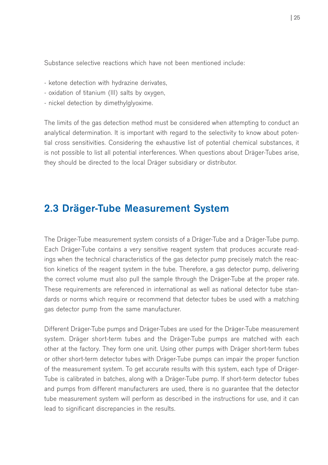Substance selective reactions which have not been mentioned include:

- ketone detection with hydrazine derivates,
- oxidation of titanium (III) salts by oxygen,
- nickel detection by dimethylglyoxime.

The limits of the gas detection method must be considered when attempting to conduct an analytical determination. It is important with regard to the selectivity to know about potential cross sensitivities. Considering the exhaustive list of potential chemical substances, it is not possible to list all potential interferences. When questions about Dräger-Tubes arise, they should be directed to the local Dräger subsidiary or distributor.

## 2.3 Dräger-Tube Measurement System

The Dräger-Tube measurement system consists of a Dräger-Tube and a Dräger-Tube pump. Each Dräger-Tube contains a very sensitive reagent system that produces accurate readings when the technical characteristics of the gas detector pump precisely match the reaction kinetics of the reagent system in the tube. Therefore, a gas detector pump, delivering the correct volume must also pull the sample through the Dräger-Tube at the proper rate. These requirements are referenced in international as well as national detector tube standards or norms which require or recommend that detector tubes be used with a matching gas detector pump from the same manufacturer.

Different Dräger-Tube pumps and Dräger-Tubes are used for the Dräger-Tube measurement system. Dräger short-term tubes and the Dräger-Tube pumps are matched with each other at the factory. They form one unit. Using other pumps with Dräger short-term tubes or other short-term detector tubes with Dräger-Tube pumps can impair the proper function of the measurement system. To get accurate results with this system, each type of Dräger-Tube is calibrated in batches, along with a Dräger-Tube pump. If short-term detector tubes and pumps from different manufacturers are used, there is no guarantee that the detector tube measurement system will perform as described in the instructions for use, and it can lead to significant discrepancies in the results.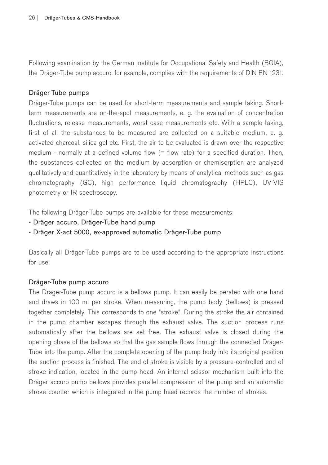Following examination by the German Institute for Occupational Safety and Health (BGIA), the Dräger-Tube pump accuro, for example, complies with the requirements of DIN EN 1231.

### Dräger-Tube pumps

Dräger-Tube pumps can be used for short-term measurements and sample taking. Shortterm measurements are on-the-spot measurements, e. g. the evaluation of concentration fluctuations, release measurements, worst case measurements etc. With a sample taking, first of all the substances to be measured are collected on a suitable medium, e. g. activated charcoal, silica gel etc. First, the air to be evaluated is drawn over the respective medium - normally at a defined volume flow  $(=$  flow rate) for a specified duration. Then, the substances collected on the medium by adsorption or chemisorption are analyzed qualitatively and quantitatively in the laboratory by means of analytical methods such as gas chromatography (GC), high performance liquid chromatography (HPLC), UV-VIS photometry or IR spectroscopy.

The following Dräger-Tube pumps are available for these measurements:

- Dräger accuro, Dräger-Tube hand pump
- Dräger X-act 5000, ex-approved automatic Dräger-Tube pump

Basically all Dräger-Tube pumps are to be used according to the appropriate instructions for use.

#### Dräger-Tube pump accuro

The Dräger-Tube pump accuro is a bellows pump. It can easily be perated with one hand and draws in 100 ml per stroke. When measuring, the pump body (bellows) is pressed together completely. This corresponds to one "stroke". During the stroke the air contained in the pump chamber escapes through the exhaust valve. The suction process runs automatically after the bellows are set free. The exhaust valve is closed during the opening phase of the bellows so that the gas sample flows through the connected Dräger-Tube into the pump. After the complete opening of the pump body into its original position the suction process is finished. The end of stroke is visible by a pressure-controlled end of stroke indication, located in the pump head. An internal scissor mechanism built into the Dräger accuro pump bellows provides parallel compression of the pump and an automatic stroke counter which is integrated in the pump head records the number of strokes.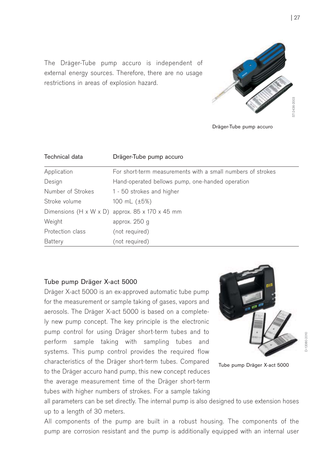The Dräger-Tube pump accuro is independent of external energy sources. Therefore, there are no usage restrictions in areas of explosion hazard.



Dräger-Tube pump accuro

| Technical data    | Dräger-Tube pump accuro                                     |  |
|-------------------|-------------------------------------------------------------|--|
| Application       | For short-term measurements with a small numbers of strokes |  |
| Design            | Hand-operated bellows pump, one-handed operation            |  |
| Number of Strokes | 1 - 50 strokes and higher                                   |  |
| Stroke volume     | 100 mL (±5%)                                                |  |
|                   | Dimensions $(H \times W \times D)$ approx. 85 x 170 x 45 mm |  |
| Weight            | approx. 250 g                                               |  |
| Protection class  | (not required)                                              |  |
| Battery           | (not required)                                              |  |

### Tube pump Dräger X-act 5000

Dräger X-act 5000 is an ex-approved automatic tube pump for the measurement or sample taking of gases, vapors and aerosols. The Dräger X-act 5000 is based on a completely new pump concept. The key principle is the electronic pump control for using Dräger short-term tubes and to perform sample taking with sampling tubes and systems. This pump control provides the required flow characteristics of the Dräger short-term tubes. Compared to the Dräger accuro hand pump, this new concept reduces the average measurement time of the Dräger short-term tubes with higher numbers of strokes. For a sample taking



D-12080-2010

Tube pump Dräger X-act 5000

all parameters can be set directly. The internal pump is also designed to use extension hoses up to a length of 30 meters.

All components of the pump are built in a robust housing. The components of the pump are corrosion resistant and the pump is additionally equipped with an internal user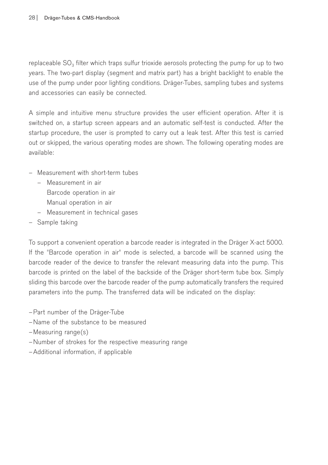replaceable SO<sub>2</sub> filter which traps sulfur trioxide aerosols protecting the pump for up to two years. The two-part display (segment and matrix part) has a bright backlight to enable the use of the pump under poor lighting conditions. Dräger-Tubes, sampling tubes and systems and accessories can easily be connected.

A simple and intuitive menu structure provides the user efficient operation. After it is switched on, a startup screen appears and an automatic self-test is conducted. After the startup procedure, the user is prompted to carry out a leak test. After this test is carried out or skipped, the various operating modes are shown. The following operating modes are available:

- Measurement with short-term tubes
	- Measurement in air Barcode operation in air
		- Manual operation in air
	- Measurement in technical gases
- Sample taking

To support a convenient operation a barcode reader is integrated in the Dräger X-act 5000. If the "Barcode operation in air" mode is selected, a barcode will be scanned using the barcode reader of the device to transfer the relevant measuring data into the pump. This barcode is printed on the label of the backside of the Dräger short-term tube box. Simply sliding this barcode over the barcode reader of the pump automatically transfers the required parameters into the pump. The transferred data will be indicated on the display:

- –Part number of the Dräger-Tube
- –Name of the substance to be measured
- –Measuring range(s)
- –Number of strokes for the respective measuring range
- –Additional information, if applicable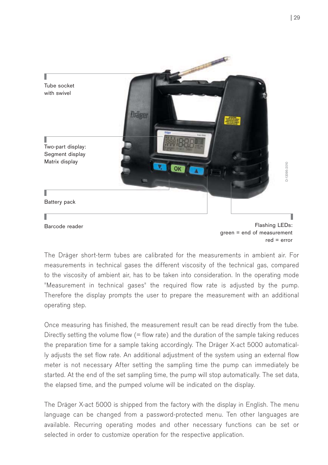

The Dräger short-term tubes are calibrated for the measurements in ambient air. For measurements in technical gases the different viscosity of the technical gas, compared to the viscosity of ambient air, has to be taken into consideration. In the operating mode "Measurement in technical gases" the required flow rate is adjusted by the pump. Therefore the display prompts the user to prepare the measurement with an additional operating step.

Once measuring has finished, the measurement result can be read directly from the tube. Directly setting the volume flow  $(=$  flow rate) and the duration of the sample taking reduces the preparation time for a sample taking accordingly. The Dräger X-act 5000 automatically adjusts the set flow rate. An additional adjustment of the system using an external flow meter is not necessary After setting the sampling time the pump can immediately be started. At the end of the set sampling time, the pump will stop automatically. The set data, the elapsed time, and the pumped volume will be indicated on the display.

The Dräger X-act 5000 is shipped from the factory with the display in English. The menu language can be changed from a password-protected menu. Ten other languages are available. Recurring operating modes and other necessary functions can be set or selected in order to customize operation for the respective application.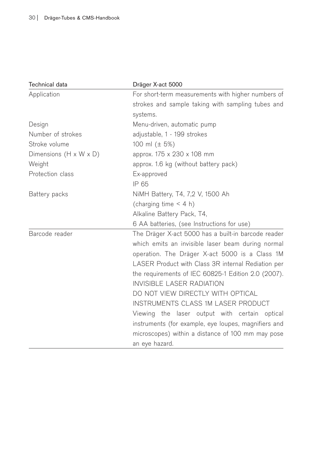| <b>Technical data</b>              | Dräger X-act 5000                                    |  |  |
|------------------------------------|------------------------------------------------------|--|--|
| Application                        | For short-term measurements with higher numbers of   |  |  |
|                                    | strokes and sample taking with sampling tubes and    |  |  |
|                                    | systems.                                             |  |  |
| Design                             | Menu-driven, automatic pump                          |  |  |
| Number of strokes                  | adjustable, 1 - 199 strokes                          |  |  |
| Stroke volume                      | 100 ml (± 5%)                                        |  |  |
| Dimensions $(H \times W \times D)$ | approx. 175 x 230 x 108 mm                           |  |  |
| Weight                             | approx. 1.6 kg (without battery pack)                |  |  |
| Protection class                   | Ex-approved                                          |  |  |
|                                    | IP 65                                                |  |  |
| Battery packs                      | NiMH Battery, T4, 7,2 V, 1500 Ah                     |  |  |
|                                    | (charging time $<$ 4 h)                              |  |  |
|                                    | Alkaline Battery Pack, T4,                           |  |  |
|                                    | 6 AA batteries, (see Instructions for use)           |  |  |
| Barcode reader                     | The Dräger X-act 5000 has a built-in barcode reader  |  |  |
|                                    | which emits an invisible laser beam during normal    |  |  |
|                                    | operation. The Dräger X-act 5000 is a Class 1M       |  |  |
|                                    | LASER Product with Class 3R internal Rediation per   |  |  |
|                                    | the requirements of IEC 60825-1 Edition 2.0 (2007).  |  |  |
|                                    | <b>INVISIBLE LASER RADIATION</b>                     |  |  |
|                                    | DO NOT VIEW DIRECTLY WITH OPTICAL                    |  |  |
|                                    | <b>INSTRUMENTS CLASS 1M LASER PRODUCT</b>            |  |  |
|                                    | Viewing the laser output with certain optical        |  |  |
|                                    | instruments (for example, eye loupes, magnifiers and |  |  |
|                                    | microscopes) within a distance of 100 mm may pose    |  |  |
|                                    | an eye hazard.                                       |  |  |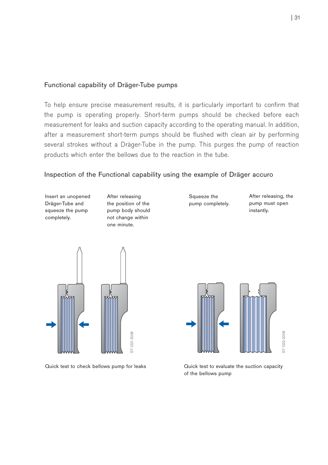### Functional capability of Dräger-Tube pumps

To help ensure precise measurement results, it is particularly important to confirm that the pump is operating properly. Short-term pumps should be checked before each measurement for leaks and suction capacity according to the operating manual. In addition, after a measurement short-term pumps should be flushed with clean air by performing several strokes without a Dräger-Tube in the pump. This purges the pump of reaction products which enter the bellows due to the reaction in the tube.

#### Inspection of the Functional capability using the example of Dräger accuro

Insert an unopened Dräger-Tube and squeeze the pump completely.

After releasing the position of the pump body should not change within one minute.

Squeeze the pump completely. After releasing, the pump must open instantly.





Quick test to check bellows pump for leaks Quick test to evaluate the suction capacity of the bellows pump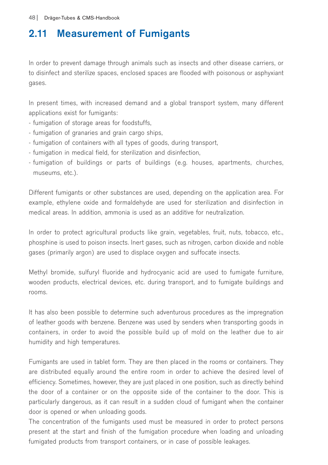# 2.11 Measurement of Fumigants

In order to prevent damage through animals such as insects and other disease carriers, or to disinfect and sterilize spaces, enclosed spaces are flooded with poisonous or asphyxiant gases.

In present times, with increased demand and a global transport system, many different applications exist for fumigants:

- fumigation of storage areas for foodstuffs,
- fumigation of granaries and grain cargo ships,
- fumigation of containers with all types of goods, during transport,
- fumigation in medical field, for sterilization and disinfection,
- fumigation of buildings or parts of buildings (e.g. houses, apartments, churches, museums, etc.).

Different fumigants or other substances are used, depending on the application area. For example, ethylene oxide and formaldehyde are used for sterilization and disinfection in medical areas. In addition, ammonia is used as an additive for neutralization.

In order to protect agricultural products like grain, vegetables, fruit, nuts, tobacco, etc., phosphine is used to poison insects. Inert gases, such as nitrogen, carbon dioxide and noble gases (primarily argon) are used to displace oxygen and suffocate insects.

Methyl bromide, sulfuryl fluoride and hydrocyanic acid are used to fumigate furniture, wooden products, electrical devices, etc. during transport, and to fumigate buildings and rooms.

It has also been possible to determine such adventurous procedures as the impregnation of leather goods with benzene. Benzene was used by senders when transporting goods in containers, in order to avoid the possible build up of mold on the leather due to air humidity and high temperatures.

Fumigants are used in tablet form. They are then placed in the rooms or containers. They are distributed equally around the entire room in order to achieve the desired level of efficiency. Sometimes, however, they are just placed in one position, such as directly behind the door of a container or on the opposite side of the container to the door. This is particularly dangerous, as it can result in a sudden cloud of fumigant when the container door is opened or when unloading goods.

The concentration of the fumigants used must be measured in order to protect persons present at the start and finish of the fumigation procedure when loading and unloading fumigated products from transport containers, or in case of possible leakages.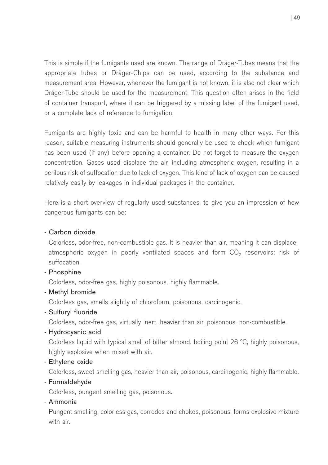This is simple if the fumigants used are known. The range of Dräger-Tubes means that the appropriate tubes or Dräger-Chips can be used, according to the substance and measurement area. However, whenever the fumigant is not known, it is also not clear which Dräger-Tube should be used for the measurement. This question often arises in the field of container transport, where it can be triggered by a missing label of the fumigant used, or a complete lack of reference to fumigation.

Fumigants are highly toxic and can be harmful to health in many other ways. For this reason, suitable measuring instruments should generally be used to check which fumigant has been used (if any) before opening a container. Do not forget to measure the oxygen concentration. Gases used displace the air, including atmospheric oxygen, resulting in a perilous risk of suffocation due to lack of oxygen. This kind of lack of oxygen can be caused relatively easily by leakages in individual packages in the container.

Here is a short overview of regularly used substances, to give you an impression of how dangerous fumigants can be:

### - Carbon dioxide

Colorless, odor-free, non-combustible gas. It is heavier than air, meaning it can displace atmospheric oxygen in poorly ventilated spaces and form CO<sub>2</sub> reservoirs: risk of suffocation.

- Phosphine

Colorless, odor-free gas, highly poisonous, highly flammable.

- Methyl bromide

Colorless gas, smells slightly of chloroform, poisonous, carcinogenic.

- Sulfuryl fluoride

Colorless, odor-free gas, virtually inert, heavier than air, poisonous, non-combustible.

- Hydrocyanic acid

Colorless liquid with typical smell of bitter almond, boiling point 26 °C, highly poisonous, highly explosive when mixed with air.

- Ethylene oxide

Colorless, sweet smelling gas, heavier than air, poisonous, carcinogenic, highly flammable.

- Formaldehyde

Colorless, pungent smelling gas, poisonous.

- Ammonia

Pungent smelling, colorless gas, corrodes and chokes, poisonous, forms explosive mixture with air.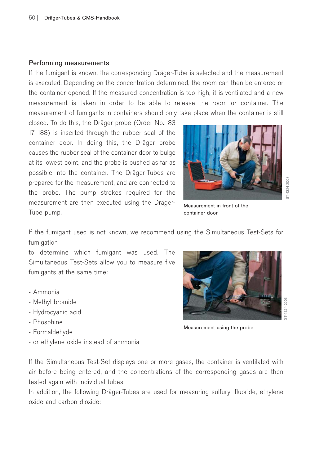#### Performing measurements

If the fumigant is known, the corresponding Dräger-Tube is selected and the measurement is executed. Depending on the concentration determined, the room can then be entered or the container opened. If the measured concentration is too high, it is ventilated and a new measurement is taken in order to be able to release the room or container. The measurement of fumigants in containers should only take place when the container is still

closed. To do this, the Dräger probe (Order No.: 83 17 188) is inserted through the rubber seal of the container door. In doing this, the Dräger probe causes the rubber seal of the container door to bulge at its lowest point, and the probe is pushed as far as possible into the container. The Dräger-Tubes are prepared for the measurement, and are connected to the probe. The pump strokes required for the measurement are then executed using the Dräger-Tube pump.



Measurement in front of the container door

4324-2003 ST-4324-2003

If the fumigant used is not known, we recommend using the Simultaneous Test-Sets for fumigation

to determine which fumigant was used. The Simultaneous Test-Sets allow you to measure five fumigants at the same time:

- Ammonia
- Methyl bromide
- Hydrocyanic acid
- Phosphine
- Formaldehyde
- or ethylene oxide instead of ammonia



Measurement using the probe

If the Simultaneous Test-Set displays one or more gases, the container is ventilated with air before being entered, and the concentrations of the corresponding gases are then tested again with individual tubes.

In addition, the following Dräger-Tubes are used for measuring sulfuryl fluoride, ethylene oxide and carbon dioxide: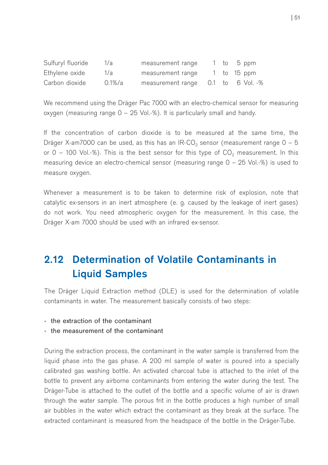| Sulfuryl fluoride | 1/a       | measurement range                  |  | 1 to 5 ppm  |
|-------------------|-----------|------------------------------------|--|-------------|
| Ethylene oxide    | 1/a       | measurement range                  |  | 1 to 15 ppm |
| Carbon dioxide    | $0.1\%/a$ | measurement range 0.1 to 6 Vol. -% |  |             |

We recommend using the Dräger Pac 7000 with an electro-chemical sensor for measuring oxygen (measuring range 0 – 25 Vol.-%). It is particularly small and handy.

If the concentration of carbon dioxide is to be measured at the same time, the Dräger X-am7000 can be used, as this has an IR-CO<sub>2</sub> sensor (measurement range  $0 - 5$ or  $0 - 100$  Vol.-%). This is the best sensor for this type of  $CO<sub>2</sub>$  measurement. In this measuring device an electro-chemical sensor (measuring range 0 – 25 Vol.-%) is used to measure oxygen.

Whenever a measurement is to be taken to determine risk of explosion, note that catalytic ex-sensors in an inert atmosphere (e. g. caused by the leakage of inert gases) do not work. You need atmospheric oxygen for the measurement. In this case, the Dräger X-am 7000 should be used with an infrared ex-sensor.

# 2.12 Determination of Volatile Contaminants in Liquid Samples

The Dräger Liquid Extraction method (DLE) is used for the determination of volatile contaminants in water. The measurement basically consists of two steps:

- the extraction of the contaminant
- the measurement of the contaminant

During the extraction process, the contaminant in the water sample is transferred from the liquid phase into the gas phase. A 200 ml sample of water is poured into a specially calibrated gas washing bottle. An activated charcoal tube is attached to the inlet of the bottle to prevent any airborne contaminants from entering the water during the test. The Dräger-Tube is attached to the outlet of the bottle and a specific volume of air is drawn through the water sample. The porous frit in the bottle produces a high number of small air bubbles in the water which extract the contaminant as they break at the surface. The extracted contaminant is measured from the headspace of the bottle in the Dräger-Tube.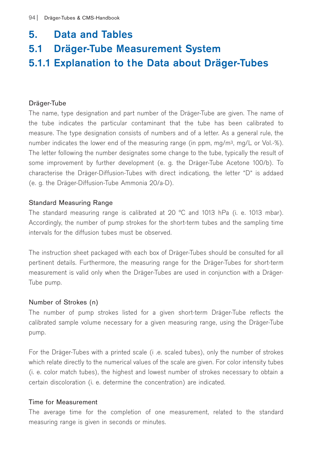### 5. Data and Tables

# 5.1 Dräger-Tube Measurement System

## 5.1.1 Explanation to the Data about Dräger-Tubes

### Dräger-Tube

The name, type designation and part number of the Dräger-Tube are given. The name of the tube indicates the particular contaminant that the tube has been calibrated to measure. The type designation consists of numbers and of a letter. As a general rule, the number indicates the lower end of the measuring range (in ppm, mg/m3, mg/L or Vol.-%). The letter following the number designates some change to the tube, typically the result of some improvement by further development (e. g. the Dräger-Tube Acetone 100/b). To characterise the Dräger-Diffusion-Tubes with direct indicationg, the letter "D" is addaed (e. g. the Dräger-Diffusion-Tube Ammonia 20/a-D).

### Standard Measuring Range

The standard measuring range is calibrated at 20 °C and 1013 hPa (i. e. 1013 mbar). Accordingly, the number of pump strokes for the short-term tubes and the sampling time intervals for the diffusion tubes must be observed.

The instruction sheet packaged with each box of Dräger-Tubes should be consulted for all pertinent details. Furthermore, the measuring range for the Dräger-Tubes for short-term measurement is valid only when the Dräger-Tubes are used in conjunction with a Dräger-Tube pump.

#### Number of Strokes (n)

The number of pump strokes listed for a given short-term Dräger-Tube reflects the calibrated sample volume necessary for a given measuring range, using the Dräger-Tube pump.

For the Dräger-Tubes with a printed scale (i .e. scaled tubes), only the number of strokes which relate directly to the numerical values of the scale are given. For color intensity tubes (i. e. color match tubes), the highest and lowest number of strokes necessary to obtain a certain discoloration (i. e. determine the concentration) are indicated.

### Time for Measurement

The average time for the completion of one measurement, related to the standard measuring range is given in seconds or minutes.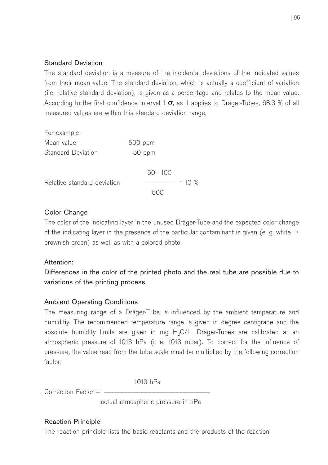### Standard Deviation

The standard deviation is a measure of the incidental deviations of the indicated values from their mean value. The standard deviation, which is actually a coefficient of variation (i.e. relative standard deviation), is given as a percentage and relates to the mean value. According to the first confidence interval 1  $\sigma$ , as it applies to Dräger-Tubes, 68.3 % of all measured values are within this standard deviation range.

| For example:                |                |  |  |
|-----------------------------|----------------|--|--|
| Mean value                  | 500 ppm        |  |  |
| Standard Deviation          | 50 ppm         |  |  |
|                             | $50 \cdot 100$ |  |  |
| Relative standard deviation | $= 10 \%$      |  |  |
|                             |                |  |  |

### Color Change

The color of the indicating layer in the unused Dräger-Tube and the expected color change of the indicating layer in the presence of the particular contaminant is given (e. g. white  $\rightarrow$ brownish green) as well as with a colored photo.

### Attention:

Differences in the color of the printed photo and the real tube are possible due to variations of the printing process!

### Ambient Operating Conditions

The measuring range of a Dräger-Tube is influenced by the ambient temperature and humiditiy. The recommended temperature range is given in degree centigrade and the absolute humidity limits are given in mg  $H<sub>2</sub>O/L$ . Dräger-Tubes are calibrated at an atmospheric pressure of 1013 hPa (i. e. 1013 mbar). To correct for the influence of pressure, the value read from the tube scale must be multiplied by the following correction factor:

1013 hPa

 $Correction$  Factor  $=$   $-$ 

actual atmospheric pressure in hPa

### Reaction Principle

The reaction principle lists the basic reactants and the products of the reaction.